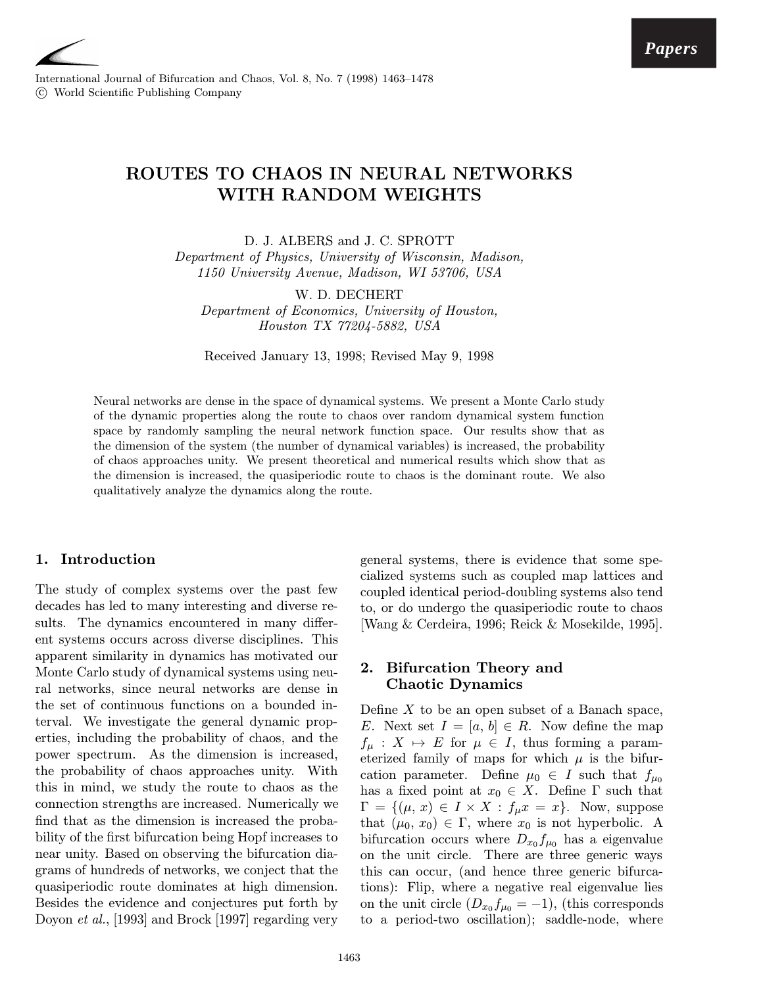

International Journal of Bifurcation and Chaos, Vol. 8, No. 7 (1998) 1463–1478 c World Scientific Publishing Company

# ROUTES TO CHAOS IN NEURAL NETWORKS WITH RANDOM WEIGHTS

D. J. ALBERS and J. C. SPROTT Department of Physics, University of Wisconsin, Madison,

1150 University Avenue, Madison, WI 53706, USA

W. D. DECHERT Department of Economics, University of Houston, Houston TX 77204-5882, USA

Received January 13, 1998; Revised May 9, 1998

Neural networks are dense in the space of dynamical systems. We present a Monte Carlo study of the dynamic properties along the route to chaos over random dynamical system function space by randomly sampling the neural network function space. Our results show that as the dimension of the system (the number of dynamical variables) is increased, the probability of chaos approaches unity. We present theoretical and numerical results which show that as the dimension is increased, the quasiperiodic route to chaos is the dominant route. We also qualitatively analyze the dynamics along the route.

## 1. Introduction

The study of complex systems over the past few decades has led to many interesting and diverse results. The dynamics encountered in many different systems occurs across diverse disciplines. This apparent similarity in dynamics has motivated our Monte Carlo study of dynamical systems using neural networks, since neural networks are dense in the set of continuous functions on a bounded interval. We investigate the general dynamic properties, including the probability of chaos, and the power spectrum. As the dimension is increased, the probability of chaos approaches unity. With this in mind, we study the route to chaos as the connection strengths are increased. Numerically we find that as the dimension is increased the probability of the first bifurcation being Hopf increases to near unity. Based on observing the bifurcation diagrams of hundreds of networks, we conject that the quasiperiodic route dominates at high dimension. Besides the evidence and conjectures put forth by Doyon et al., [1993] and Brock [1997] regarding very

general systems, there is evidence that some specialized systems such as coupled map lattices and coupled identical period-doubling systems also tend to, or do undergo the quasiperiodic route to chaos [Wang & Cerdeira, 1996; Reick & Mosekilde, 1995].

## 2. Bifurcation Theory and Chaotic Dynamics

Define  $X$  to be an open subset of a Banach space, E. Next set  $I = [a, b] \in R$ . Now define the map  $f_{\mu}: X \mapsto E$  for  $\mu \in I$ , thus forming a parameterized family of maps for which  $\mu$  is the bifurcation parameter. Define  $\mu_0 \in I$  such that  $f_{\mu_0}$ has a fixed point at  $x_0 \in X$ . Define  $\Gamma$  such that  $\Gamma = \{(\mu, x) \in I \times X : f_{\mu}x = x\}.$  Now, suppose that  $(\mu_0, x_0) \in \Gamma$ , where  $x_0$  is not hyperbolic. A bifurcation occurs where  $D_{x_0} f_{\mu_0}$  has a eigenvalue on the unit circle. There are three generic ways this can occur, (and hence three generic bifurcations): Flip, where a negative real eigenvalue lies on the unit circle  $(D_{x_0} f_{\mu_0} = -1)$ , (this corresponds to a period-two oscillation); saddle-node, where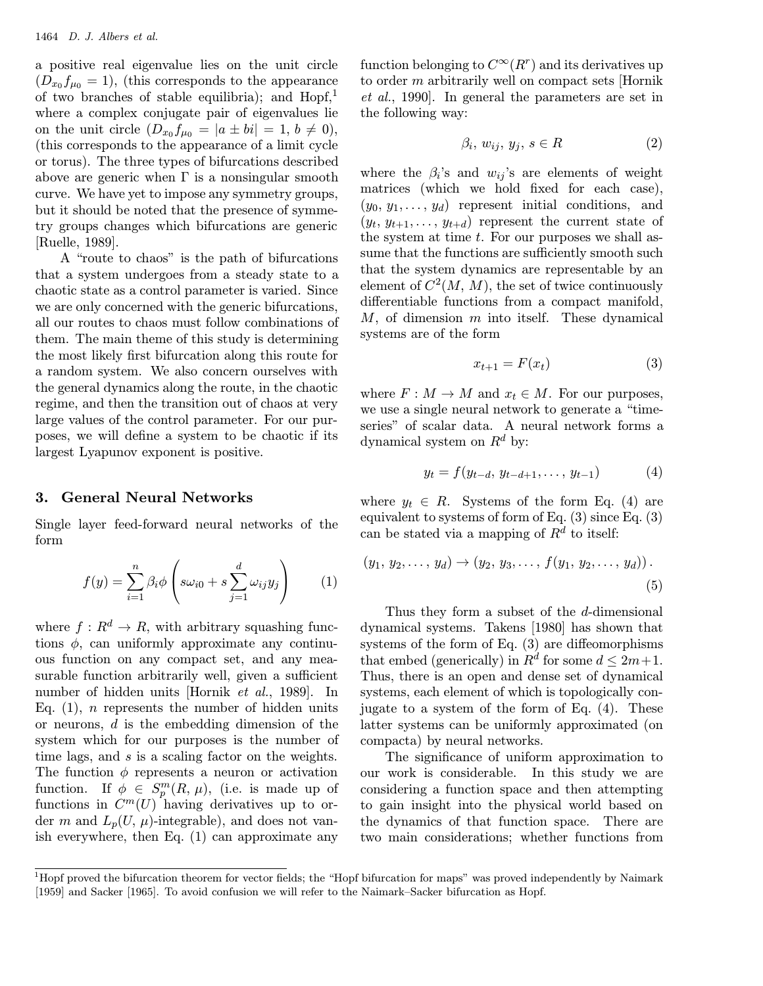a positive real eigenvalue lies on the unit circle  $(D_{x_0} f_{\mu_0} = 1)$ , (this corresponds to the appearance of two branches of stable equilibria); and  $Hopf<sup>1</sup>$ where a complex conjugate pair of eigenvalues lie on the unit circle  $(D_{x_0} f_{\mu_0} = |a \pm bi| = 1, b \neq 0),$ (this corresponds to the appearance of a limit cycle or torus). The three types of bifurcations described above are generic when  $\Gamma$  is a nonsingular smooth curve. We have yet to impose any symmetry groups, but it should be noted that the presence of symmetry groups changes which bifurcations are generic [Ruelle, 1989].

A "route to chaos" is the path of bifurcations that a system undergoes from a steady state to a chaotic state as a control parameter is varied. Since we are only concerned with the generic bifurcations, all our routes to chaos must follow combinations of them. The main theme of this study is determining the most likely first bifurcation along this route for a random system. We also concern ourselves with the general dynamics along the route, in the chaotic regime, and then the transition out of chaos at very large values of the control parameter. For our purposes, we will define a system to be chaotic if its largest Lyapunov exponent is positive.

#### 3. General Neural Networks

Single layer feed-forward neural networks of the form

$$
f(y) = \sum_{i=1}^{n} \beta_i \phi \left( s\omega_{i0} + s \sum_{j=1}^{d} \omega_{ij} y_j \right) \qquad (1)
$$

where  $f: \mathbb{R}^d \to \mathbb{R}$ , with arbitrary squashing functions  $\phi$ , can uniformly approximate any continuous function on any compact set, and any measurable function arbitrarily well, given a sufficient number of hidden units [Hornik et al., 1989]. In Eq.  $(1)$ , *n* represents the number of hidden units or neurons, d is the embedding dimension of the system which for our purposes is the number of time lags, and s is a scaling factor on the weights. The function  $\phi$  represents a neuron or activation function. If  $\phi \in S_p^m(R, \mu)$ , (i.e. is made up of functions in  $C^m(U)$  having derivatives up to order m and  $L_p(U, \mu)$ -integrable), and does not vanish everywhere, then Eq. (1) can approximate any

function belonging to  $C^{\infty}(R^r)$  and its derivatives up to order  $m$  arbitrarily well on compact sets [Hornik] et al., 1990]. In general the parameters are set in the following way:

$$
\beta_i, w_{ij}, y_j, s \in R \tag{2}
$$

where the  $\beta_i$ 's and  $w_{ij}$ 's are elements of weight matrices (which we hold fixed for each case),  $(y_0, y_1, \ldots, y_d)$  represent initial conditions, and  $(y_t, y_{t+1}, \ldots, y_{t+d})$  represent the current state of the system at time  $t$ . For our purposes we shall assume that the functions are sufficiently smooth such that the system dynamics are representable by an element of  $C^2(M, M)$ , the set of twice continuously differentiable functions from a compact manifold,  $M$ , of dimension  $m$  into itself. These dynamical systems are of the form

$$
x_{t+1} = F(x_t) \tag{3}
$$

where  $F: M \to M$  and  $x_t \in M$ . For our purposes, we use a single neural network to generate a "timeseries" of scalar data. A neural network forms a dynamical system on  $R^d$  by:

$$
y_t = f(y_{t-d}, y_{t-d+1}, \dots, y_{t-1}) \tag{4}
$$

where  $y_t \in R$ . Systems of the form Eq. (4) are equivalent to systems of form of Eq. (3) since Eq. (3) can be stated via a mapping of  $R^d$  to itself:

$$
(y_1, y_2,..., y_d) \rightarrow (y_2, y_3,..., f(y_1, y_2,..., y_d)).
$$
 (5)

Thus they form a subset of the d-dimensional dynamical systems. Takens [1980] has shown that systems of the form of Eq. (3) are diffeomorphisms that embed (generically) in  $R^d$  for some  $d \leq 2m+1$ . Thus, there is an open and dense set of dynamical systems, each element of which is topologically conjugate to a system of the form of Eq. (4). These latter systems can be uniformly approximated (on compacta) by neural networks.

The significance of uniform approximation to our work is considerable. In this study we are considering a function space and then attempting to gain insight into the physical world based on the dynamics of that function space. There are two main considerations; whether functions from

<sup>&</sup>lt;sup>1</sup>Hopf proved the bifurcation theorem for vector fields; the "Hopf bifurcation for maps" was proved independently by Naimark [1959] and Sacker [1965]. To avoid confusion we will refer to the Naimark–Sacker bifurcation as Hopf.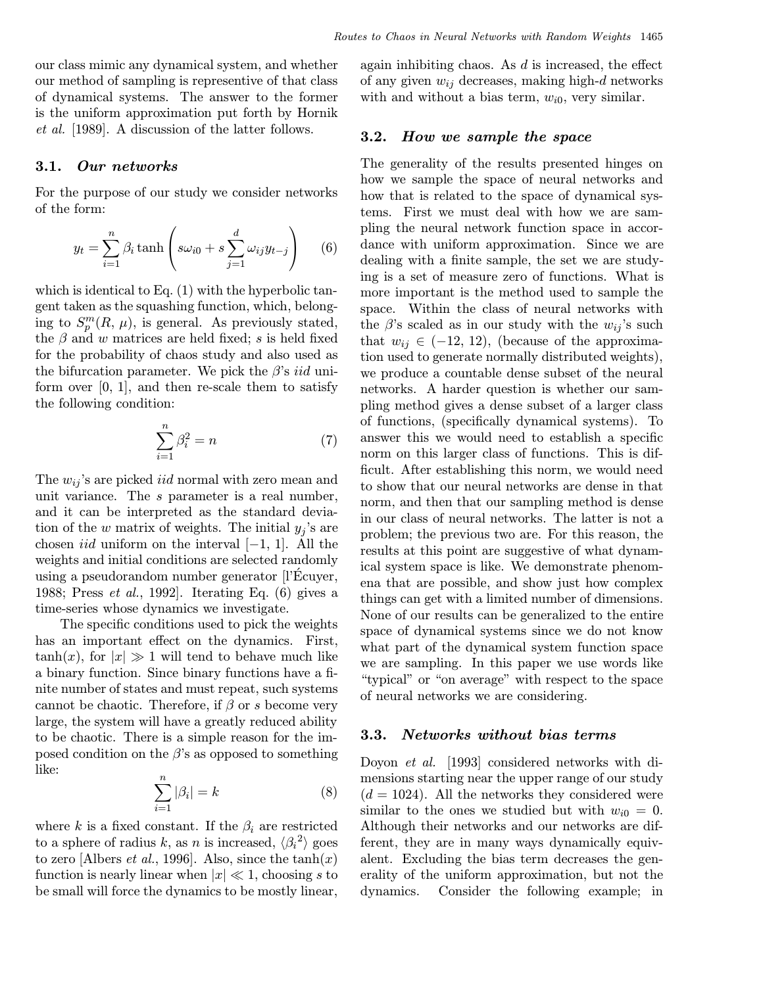our class mimic any dynamical system, and whether our method of sampling is representive of that class of dynamical systems. The answer to the former is the uniform approximation put forth by Hornik et al. [1989]. A discussion of the latter follows.

#### 3.1. Our networks

For the purpose of our study we consider networks of the form:

$$
y_t = \sum_{i=1}^n \beta_i \tanh\left(s\omega_{i0} + s\sum_{j=1}^d \omega_{ij} y_{t-j}\right) \quad (6)
$$

which is identical to Eq. (1) with the hyperbolic tangent taken as the squashing function, which, belonging to  $S_p^m(R, \mu)$ , is general. As previously stated, the  $\beta$  and w matrices are held fixed; s is held fixed for the probability of chaos study and also used as the bifurcation parameter. We pick the  $\beta$ 's *iid* uniform over [0, 1], and then re-scale them to satisfy the following condition:

$$
\sum_{i=1}^{n} \beta_i^2 = n \tag{7}
$$

The  $w_{ij}$ 's are picked *iid* normal with zero mean and unit variance. The s parameter is a real number, and it can be interpreted as the standard deviation of the w matrix of weights. The initial  $y_i$ 's are chosen *iid* uniform on the interval  $[-1, 1]$ . All the weights and initial conditions are selected randomly using a pseudorandom number generator [l'Ecuyer, ´ 1988; Press *et al.*, 1992. Iterating Eq.  $(6)$  gives a time-series whose dynamics we investigate.

The specific conditions used to pick the weights has an important effect on the dynamics. First,  $tanh(x)$ , for  $|x| \gg 1$  will tend to behave much like a binary function. Since binary functions have a finite number of states and must repeat, such systems cannot be chaotic. Therefore, if  $\beta$  or s become very large, the system will have a greatly reduced ability to be chaotic. There is a simple reason for the imposed condition on the  $\beta$ 's as opposed to something like:

$$
\sum_{i=1}^{n} |\beta_i| = k \tag{8}
$$

where k is a fixed constant. If the  $\beta_i$  are restricted to a sphere of radius k, as n is increased,  $\langle \beta_i^2 \rangle$  goes to zero [Albers *et al.*, 1996]. Also, since the  $tanh(x)$ function is nearly linear when  $|x| \ll 1$ , choosing s to be small will force the dynamics to be mostly linear, again inhibiting chaos. As  $d$  is increased, the effect of any given  $w_{ij}$  decreases, making high-d networks with and without a bias term,  $w_{i0}$ , very similar.

## 3.2. How we sample the space

The generality of the results presented hinges on how we sample the space of neural networks and how that is related to the space of dynamical systems. First we must deal with how we are sampling the neural network function space in accordance with uniform approximation. Since we are dealing with a finite sample, the set we are studying is a set of measure zero of functions. What is more important is the method used to sample the space. Within the class of neural networks with the  $\beta$ 's scaled as in our study with the  $w_{ij}$ 's such that  $w_{ij} \in (-12, 12)$ , (because of the approximation used to generate normally distributed weights), we produce a countable dense subset of the neural networks. A harder question is whether our sampling method gives a dense subset of a larger class of functions, (specifically dynamical systems). To answer this we would need to establish a specific norm on this larger class of functions. This is difficult. After establishing this norm, we would need to show that our neural networks are dense in that norm, and then that our sampling method is dense in our class of neural networks. The latter is not a problem; the previous two are. For this reason, the results at this point are suggestive of what dynamical system space is like. We demonstrate phenomena that are possible, and show just how complex things can get with a limited number of dimensions. None of our results can be generalized to the entire space of dynamical systems since we do not know what part of the dynamical system function space we are sampling. In this paper we use words like "typical" or "on average" with respect to the space of neural networks we are considering.

#### 3.3. Networks without bias terms

Doyon *et al.* [1993] considered networks with dimensions starting near the upper range of our study  $(d = 1024)$ . All the networks they considered were similar to the ones we studied but with  $w_{i0} = 0$ . Although their networks and our networks are different, they are in many ways dynamically equivalent. Excluding the bias term decreases the generality of the uniform approximation, but not the dynamics. Consider the following example; in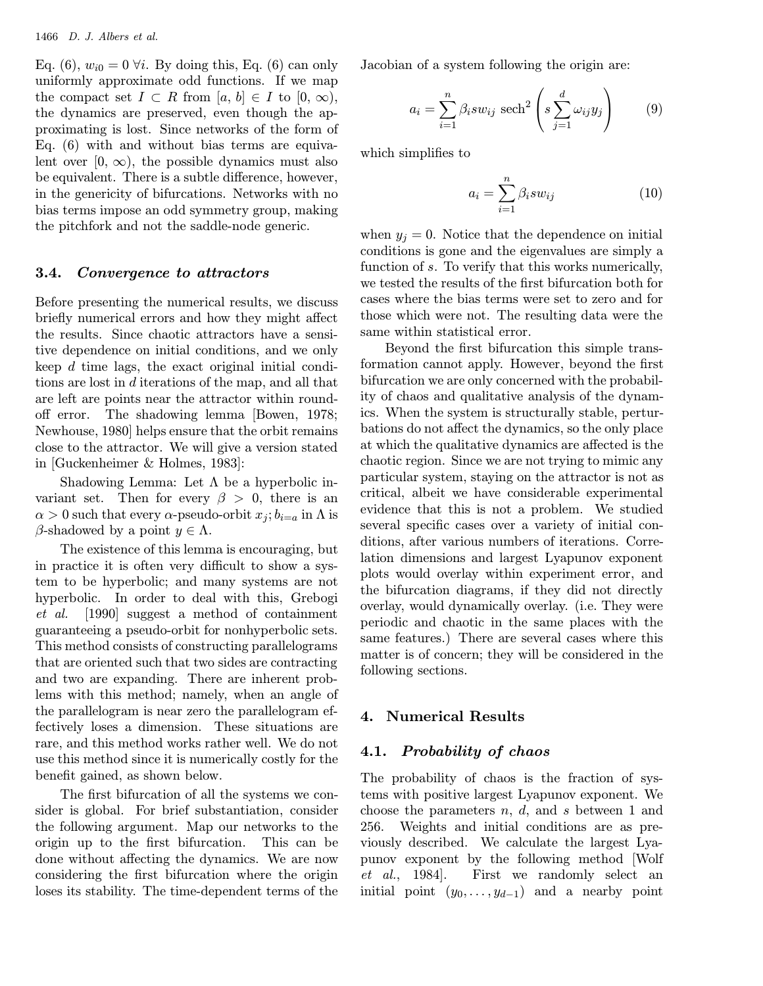Eq. (6),  $w_{i0} = 0$   $\forall i$ . By doing this, Eq. (6) can only uniformly approximate odd functions. If we map the compact set  $I \subset R$  from  $[a, b] \in I$  to  $[0, \infty)$ , the dynamics are preserved, even though the approximating is lost. Since networks of the form of Eq. (6) with and without bias terms are equivalent over  $[0, \infty)$ , the possible dynamics must also be equivalent. There is a subtle difference, however, in the genericity of bifurcations. Networks with no bias terms impose an odd symmetry group, making the pitchfork and not the saddle-node generic.

#### 3.4. Convergence to attractors

Before presenting the numerical results, we discuss briefly numerical errors and how they might affect the results. Since chaotic attractors have a sensitive dependence on initial conditions, and we only keep d time lags, the exact original initial conditions are lost in d iterations of the map, and all that are left are points near the attractor within roundoff error. The shadowing lemma [Bowen, 1978; Newhouse, 1980] helps ensure that the orbit remains close to the attractor. We will give a version stated in [Guckenheimer & Holmes, 1983]:

Shadowing Lemma: Let  $\Lambda$  be a hyperbolic invariant set. Then for every  $\beta > 0$ , there is an  $\alpha > 0$  such that every  $\alpha$ -pseudo-orbit  $x_i$ ;  $b_{i=a}$  in  $\Lambda$  is β-shadowed by a point  $y \in Λ$ .

The existence of this lemma is encouraging, but in practice it is often very difficult to show a system to be hyperbolic; and many systems are not hyperbolic. In order to deal with this, Grebogi et al. [1990] suggest a method of containment guaranteeing a pseudo-orbit for nonhyperbolic sets. This method consists of constructing parallelograms that are oriented such that two sides are contracting and two are expanding. There are inherent problems with this method; namely, when an angle of the parallelogram is near zero the parallelogram effectively loses a dimension. These situations are rare, and this method works rather well. We do not use this method since it is numerically costly for the benefit gained, as shown below.

The first bifurcation of all the systems we consider is global. For brief substantiation, consider the following argument. Map our networks to the origin up to the first bifurcation. This can be done without affecting the dynamics. We are now considering the first bifurcation where the origin loses its stability. The time-dependent terms of the

Jacobian of a system following the origin are:

$$
a_i = \sum_{i=1}^n \beta_i s w_{ij} \operatorname{sech}^2\left(s \sum_{j=1}^d \omega_{ij} y_j\right) \qquad (9)
$$

which simplifies to

$$
a_i = \sum_{i=1}^{n} \beta_i s w_{ij} \tag{10}
$$

when  $y_i = 0$ . Notice that the dependence on initial conditions is gone and the eigenvalues are simply a function of s. To verify that this works numerically, we tested the results of the first bifurcation both for cases where the bias terms were set to zero and for those which were not. The resulting data were the same within statistical error.

Beyond the first bifurcation this simple transformation cannot apply. However, beyond the first bifurcation we are only concerned with the probability of chaos and qualitative analysis of the dynamics. When the system is structurally stable, perturbations do not affect the dynamics, so the only place at which the qualitative dynamics are affected is the chaotic region. Since we are not trying to mimic any particular system, staying on the attractor is not as critical, albeit we have considerable experimental evidence that this is not a problem. We studied several specific cases over a variety of initial conditions, after various numbers of iterations. Correlation dimensions and largest Lyapunov exponent plots would overlay within experiment error, and the bifurcation diagrams, if they did not directly overlay, would dynamically overlay. (i.e. They were periodic and chaotic in the same places with the same features.) There are several cases where this matter is of concern; they will be considered in the following sections.

## 4. Numerical Results

## 4.1. Probability of chaos

The probability of chaos is the fraction of systems with positive largest Lyapunov exponent. We choose the parameters  $n, d$ , and s between 1 and 256. Weights and initial conditions are as previously described. We calculate the largest Lyapunov exponent by the following method [Wolf et al., 1984]. First we randomly select an initial point  $(y_0,\ldots,y_{d-1})$  and a nearby point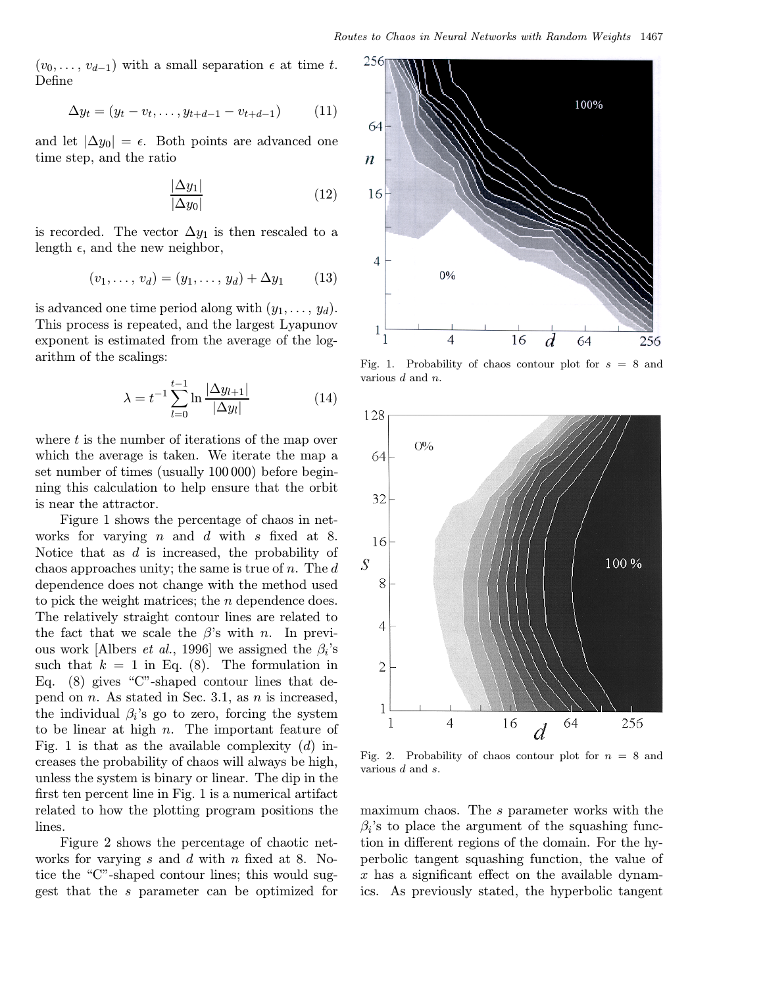$(v_0,\ldots,v_{d-1})$  with a small separation  $\epsilon$  at time t. Define

$$
\Delta y_t = (y_t - v_t, \dots, y_{t+d-1} - v_{t+d-1}) \tag{11}
$$

and let  $|\Delta y_0| = \epsilon$ . Both points are advanced one time step, and the ratio

$$
\frac{|\Delta y_1|}{|\Delta y_0|} \tag{12}
$$

is recorded. The vector  $\Delta y_1$  is then rescaled to a length  $\epsilon$ , and the new neighbor,

$$
(v_1, \ldots, v_d) = (y_1, \ldots, y_d) + \Delta y_1 \tag{13}
$$

is advanced one time period along with  $(y_1, \ldots, y_d)$ . This process is repeated, and the largest Lyapunov exponent is estimated from the average of the logarithm of the scalings:

$$
\lambda = t^{-1} \sum_{l=0}^{t-1} \ln \frac{|\Delta y_{l+1}|}{|\Delta y_l|} \tag{14}
$$

where  $t$  is the number of iterations of the map over which the average is taken. We iterate the map a set number of times (usually 100000) before beginning this calculation to help ensure that the orbit is near the attractor.

Figure 1 shows the percentage of chaos in networks for varying  $n$  and  $d$  with  $s$  fixed at 8. Notice that as  $d$  is increased, the probability of chaos approaches unity; the same is true of  $n$ . The  $d$ dependence does not change with the method used to pick the weight matrices; the n dependence does. The relatively straight contour lines are related to the fact that we scale the  $\beta$ 's with n. In previous work [Albers *et al.*, 1996] we assigned the  $\beta_i$ 's such that  $k = 1$  in Eq. (8). The formulation in Eq. (8) gives "C"-shaped contour lines that depend on  $n$ . As stated in Sec. 3.1, as  $n$  is increased, the individual  $\beta_i$ 's go to zero, forcing the system to be linear at high n. The important feature of Fig. 1 is that as the available complexity  $(d)$  increases the probability of chaos will always be high, unless the system is binary or linear. The dip in the first ten percent line in Fig. 1 is a numerical artifact related to how the plotting program positions the lines.

Figure 2 shows the percentage of chaotic networks for varying s and d with n fixed at 8. Notice the "C"-shaped contour lines; this would suggest that the s parameter can be optimized for



Fig. 1. Probability of chaos contour plot for  $s = 8$  and various  $d$  and  $n$ .



Fig. 2. Probability of chaos contour plot for  $n = 8$  and various d and s.

maximum chaos. The s parameter works with the  $\beta_i$ 's to place the argument of the squashing function in different regions of the domain. For the hyperbolic tangent squashing function, the value of  $x$  has a significant effect on the available dynamics. As previously stated, the hyperbolic tangent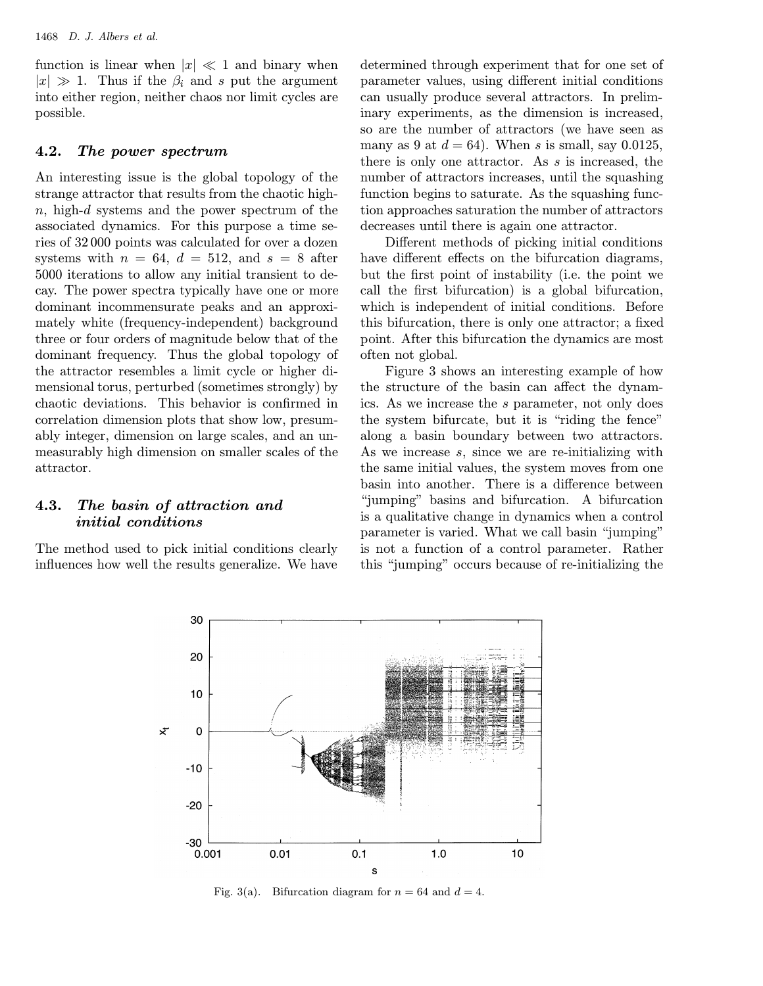function is linear when  $|x| \ll 1$  and binary when  $|x| \gg 1$ . Thus if the  $\beta_i$  and s put the argument into either region, neither chaos nor limit cycles are possible.

#### 4.2. The power spectrum

An interesting issue is the global topology of the strange attractor that results from the chaotic high $n$ , high- $d$  systems and the power spectrum of the associated dynamics. For this purpose a time series of 32000 points was calculated for over a dozen systems with  $n = 64$ ,  $d = 512$ , and  $s = 8$  after 5000 iterations to allow any initial transient to decay. The power spectra typically have one or more dominant incommensurate peaks and an approximately white (frequency-independent) background three or four orders of magnitude below that of the dominant frequency. Thus the global topology of the attractor resembles a limit cycle or higher dimensional torus, perturbed (sometimes strongly) by chaotic deviations. This behavior is confirmed in correlation dimension plots that show low, presumably integer, dimension on large scales, and an unmeasurably high dimension on smaller scales of the attractor.

# 4.3. The basin of attraction and initial conditions

The method used to pick initial conditions clearly influences how well the results generalize. We have

determined through experiment that for one set of parameter values, using different initial conditions can usually produce several attractors. In preliminary experiments, as the dimension is increased, so are the number of attractors (we have seen as many as 9 at  $d = 64$ ). When s is small, say 0.0125, there is only one attractor. As s is increased, the number of attractors increases, until the squashing function begins to saturate. As the squashing function approaches saturation the number of attractors decreases until there is again one attractor.

Different methods of picking initial conditions have different effects on the bifurcation diagrams, but the first point of instability (i.e. the point we call the first bifurcation) is a global bifurcation, which is independent of initial conditions. Before this bifurcation, there is only one attractor; a fixed point. After this bifurcation the dynamics are most often not global.

Figure 3 shows an interesting example of how the structure of the basin can affect the dynamics. As we increase the s parameter, not only does the system bifurcate, but it is "riding the fence" along a basin boundary between two attractors. As we increase s, since we are re-initializing with the same initial values, the system moves from one basin into another. There is a difference between "jumping" basins and bifurcation. A bifurcation is a qualitative change in dynamics when a control parameter is varied. What we call basin "jumping" is not a function of a control parameter. Rather this "jumping" occurs because of re-initializing the



Fig. 3(a). Bifurcation diagram for  $n = 64$  and  $d = 4$ .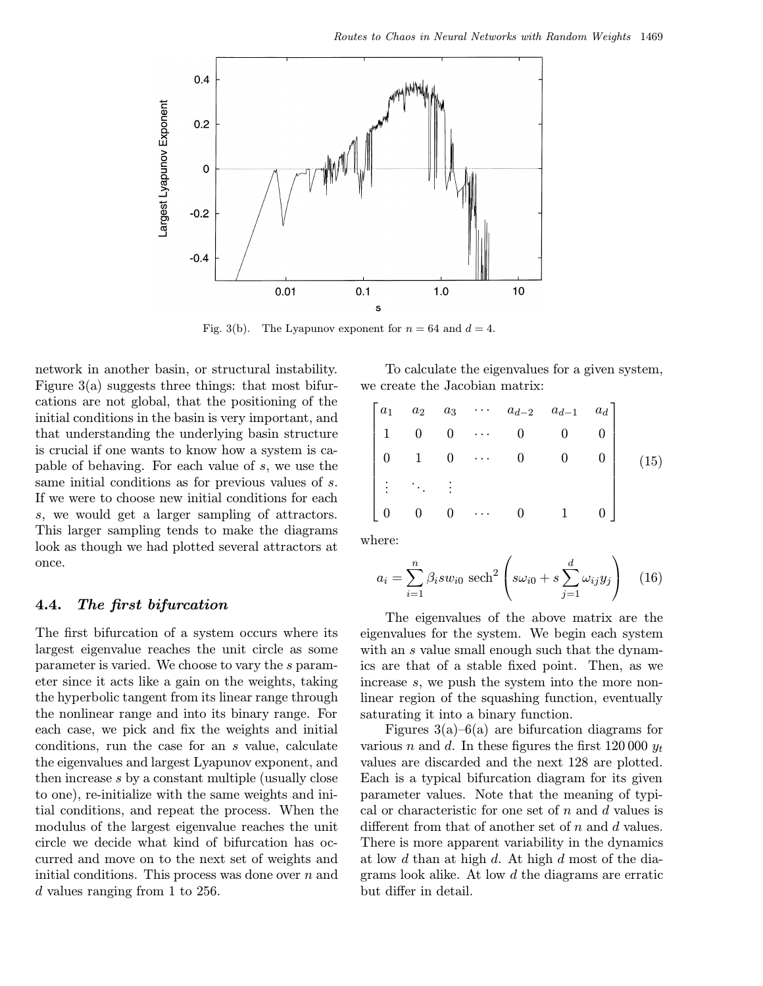

Fig. 3(b). The Lyapunov exponent for  $n = 64$  and  $d = 4$ .

network in another basin, or structural instability. Figure 3(a) suggests three things: that most bifurcations are not global, that the positioning of the initial conditions in the basin is very important, and that understanding the underlying basin structure is crucial if one wants to know how a system is capable of behaving. For each value of s, we use the same initial conditions as for previous values of s. If we were to choose new initial conditions for each s, we would get a larger sampling of attractors. This larger sampling tends to make the diagrams look as though we had plotted several attractors at once.

## 4.4. The first bifurcation

The first bifurcation of a system occurs where its largest eigenvalue reaches the unit circle as some parameter is varied. We choose to vary the s parameter since it acts like a gain on the weights, taking the hyperbolic tangent from its linear range through the nonlinear range and into its binary range. For each case, we pick and fix the weights and initial conditions, run the case for an s value, calculate the eigenvalues and largest Lyapunov exponent, and then increase s by a constant multiple (usually close to one), re-initialize with the same weights and initial conditions, and repeat the process. When the modulus of the largest eigenvalue reaches the unit circle we decide what kind of bifurcation has occurred and move on to the next set of weights and initial conditions. This process was done over  $n$  and d values ranging from 1 to 256.

To calculate the eigenvalues for a given system, we create the Jacobian matrix:

$$
\begin{bmatrix} a_1 & a_2 & a_3 & \cdots & a_{d-2} & a_{d-1} & a_d \\ 1 & 0 & 0 & \cdots & 0 & 0 & 0 \\ 0 & 1 & 0 & \cdots & 0 & 0 & 0 \\ \vdots & \ddots & \vdots & & & & \\ 0 & 0 & 0 & \cdots & 0 & 1 & 0 \end{bmatrix}
$$
 (15)

where:

$$
a_i = \sum_{i=1}^n \beta_i s w_{i0} \operatorname{sech}^2\left(s\omega_{i0} + s \sum_{j=1}^d \omega_{ij} y_j\right) \quad (16)
$$

The eigenvalues of the above matrix are the eigenvalues for the system. We begin each system with an s value small enough such that the dynamics are that of a stable fixed point. Then, as we increase s, we push the system into the more nonlinear region of the squashing function, eventually saturating it into a binary function.

Figures  $3(a)-6(a)$  are bifurcation diagrams for various n and d. In these figures the first  $120\,000\,y_t$ values are discarded and the next 128 are plotted. Each is a typical bifurcation diagram for its given parameter values. Note that the meaning of typical or characteristic for one set of n and d values is different from that of another set of n and d values. There is more apparent variability in the dynamics at low  $d$  than at high  $d$ . At high  $d$  most of the diagrams look alike. At low d the diagrams are erratic but differ in detail.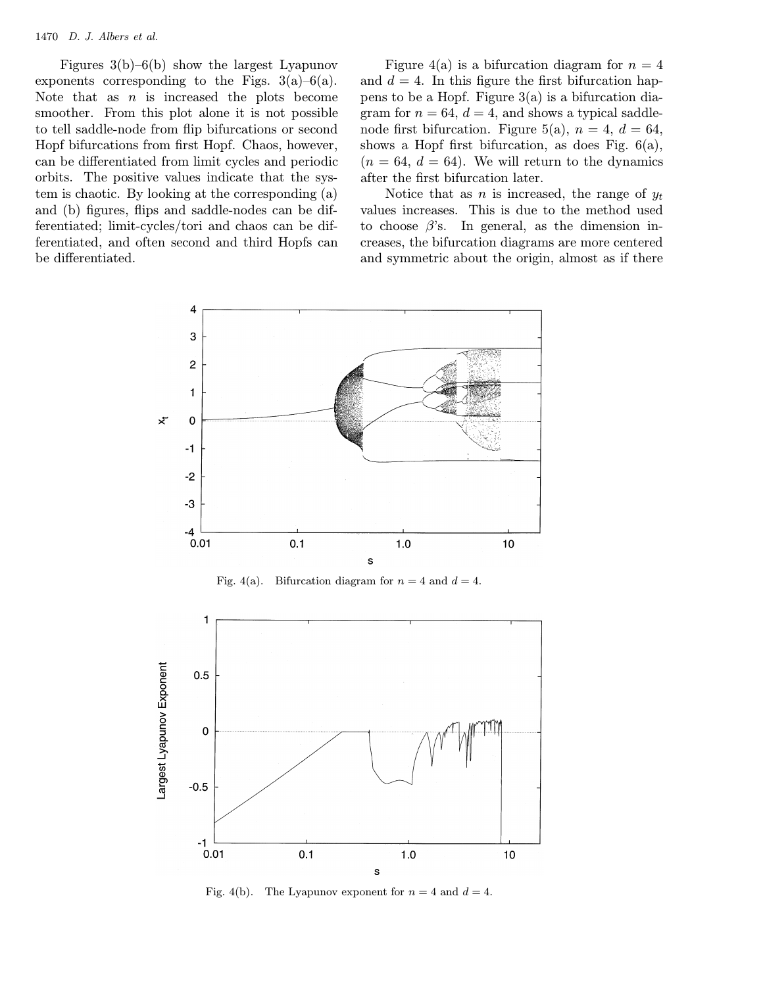#### 1470 D. J. Albers et al.

Figures  $3(b)$ –6(b) show the largest Lyapunov exponents corresponding to the Figs.  $3(a)-6(a)$ . Note that as  $n$  is increased the plots become smoother. From this plot alone it is not possible to tell saddle-node from flip bifurcations or second Hopf bifurcations from first Hopf. Chaos, however, can be differentiated from limit cycles and periodic orbits. The positive values indicate that the system is chaotic. By looking at the corresponding (a) and (b) figures, flips and saddle-nodes can be differentiated; limit-cycles/tori and chaos can be differentiated, and often second and third Hopfs can be differentiated.

Figure 4(a) is a bifurcation diagram for  $n = 4$ and  $d = 4$ . In this figure the first bifurcation happens to be a Hopf. Figure  $3(a)$  is a bifurcation diagram for  $n = 64$ ,  $d = 4$ , and shows a typical saddlenode first bifurcation. Figure 5(a),  $n = 4$ ,  $d = 64$ , shows a Hopf first bifurcation, as does Fig. 6(a),  $(n = 64, d = 64)$ . We will return to the dynamics after the first bifurcation later.

Notice that as n is increased, the range of  $y_t$ values increases. This is due to the method used to choose  $\beta$ 's. In general, as the dimension increases, the bifurcation diagrams are more centered and symmetric about the origin, almost as if there



Fig. 4(a). Bifurcation diagram for  $n = 4$  and  $d = 4$ .



Fig. 4(b). The Lyapunov exponent for  $n = 4$  and  $d = 4$ .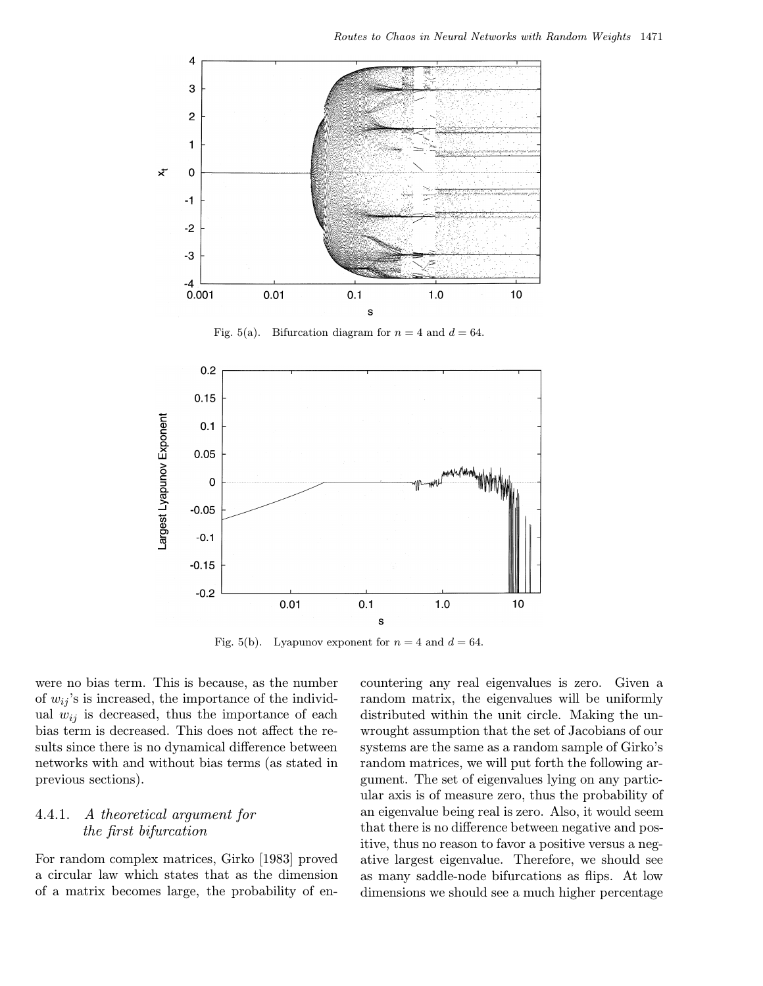



Fig. 5(b). Lyapunov exponent for  $n = 4$  and  $d = 64$ .

were no bias term. This is because, as the number of  $w_{ij}$ 's is increased, the importance of the individual  $w_{ij}$  is decreased, thus the importance of each bias term is decreased. This does not affect the results since there is no dynamical difference between networks with and without bias terms (as stated in previous sections).

# 4.4.1. A theoretical argument for the first bifurcation

For random complex matrices, Girko [1983] proved a circular law which states that as the dimension of a matrix becomes large, the probability of en-

countering any real eigenvalues is zero. Given a random matrix, the eigenvalues will be uniformly distributed within the unit circle. Making the unwrought assumption that the set of Jacobians of our systems are the same as a random sample of Girko's random matrices, we will put forth the following argument. The set of eigenvalues lying on any particular axis is of measure zero, thus the probability of an eigenvalue being real is zero. Also, it would seem that there is no difference between negative and positive, thus no reason to favor a positive versus a negative largest eigenvalue. Therefore, we should see as many saddle-node bifurcations as flips. At low dimensions we should see a much higher percentage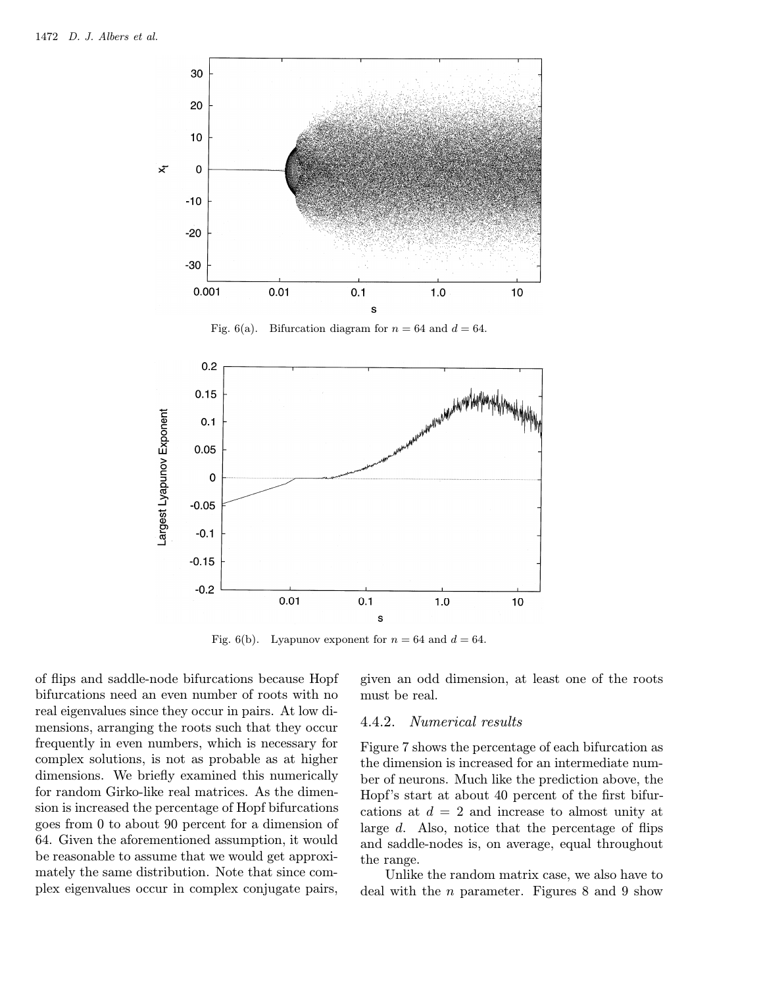

Fig. 6(b). Lyapunov exponent for  $n = 64$  and  $d = 64$ .

of flips and saddle-node bifurcations because Hopf bifurcations need an even number of roots with no real eigenvalues since they occur in pairs. At low dimensions, arranging the roots such that they occur frequently in even numbers, which is necessary for complex solutions, is not as probable as at higher dimensions. We briefly examined this numerically for random Girko-like real matrices. As the dimension is increased the percentage of Hopf bifurcations goes from 0 to about 90 percent for a dimension of 64. Given the aforementioned assumption, it would be reasonable to assume that we would get approximately the same distribution. Note that since complex eigenvalues occur in complex conjugate pairs, given an odd dimension, at least one of the roots must be real.

### 4.4.2. Numerical results

Figure 7 shows the percentage of each bifurcation as the dimension is increased for an intermediate number of neurons. Much like the prediction above, the Hopf's start at about 40 percent of the first bifurcations at  $d = 2$  and increase to almost unity at large d. Also, notice that the percentage of flips and saddle-nodes is, on average, equal throughout the range.

Unlike the random matrix case, we also have to deal with the n parameter. Figures 8 and 9 show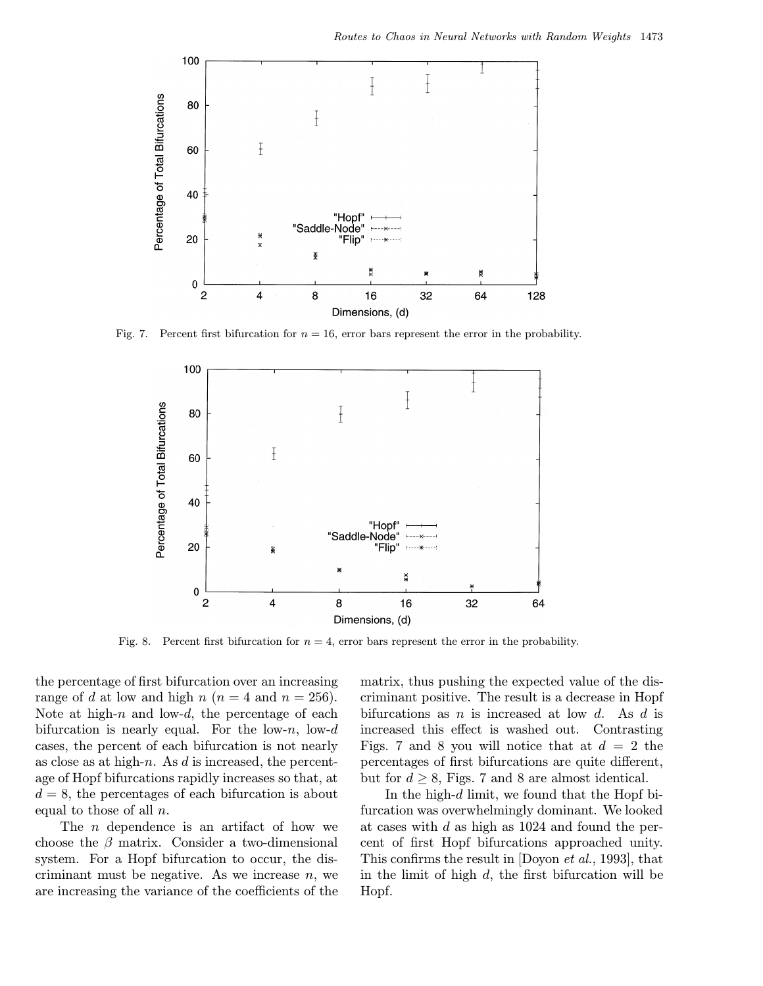

Fig. 7. Percent first bifurcation for  $n = 16$ , error bars represent the error in the probability.



Fig. 8. Percent first bifurcation for  $n = 4$ , error bars represent the error in the probability.

the percentage of first bifurcation over an increasing range of d at low and high  $n (n = 4$  and  $n = 256)$ . Note at high- $n$  and low- $d$ , the percentage of each bifurcation is nearly equal. For the low-n, low-d cases, the percent of each bifurcation is not nearly as close as at high-n. As  $d$  is increased, the percentage of Hopf bifurcations rapidly increases so that, at  $d = 8$ , the percentages of each bifurcation is about equal to those of all  $n$ .

The *n* dependence is an artifact of how we choose the  $\beta$  matrix. Consider a two-dimensional system. For a Hopf bifurcation to occur, the discriminant must be negative. As we increase  $n$ , we are increasing the variance of the coefficients of the matrix, thus pushing the expected value of the discriminant positive. The result is a decrease in Hopf bifurcations as n is increased at low d. As d is increased this effect is washed out. Contrasting Figs. 7 and 8 you will notice that at  $d = 2$  the percentages of first bifurcations are quite different, but for  $d \geq 8$ , Figs. 7 and 8 are almost identical.

In the high-d limit, we found that the Hopf bifurcation was overwhelmingly dominant. We looked at cases with d as high as 1024 and found the percent of first Hopf bifurcations approached unity. This confirms the result in [Doyon et al., 1993], that in the limit of high  $d$ , the first bifurcation will be Hopf.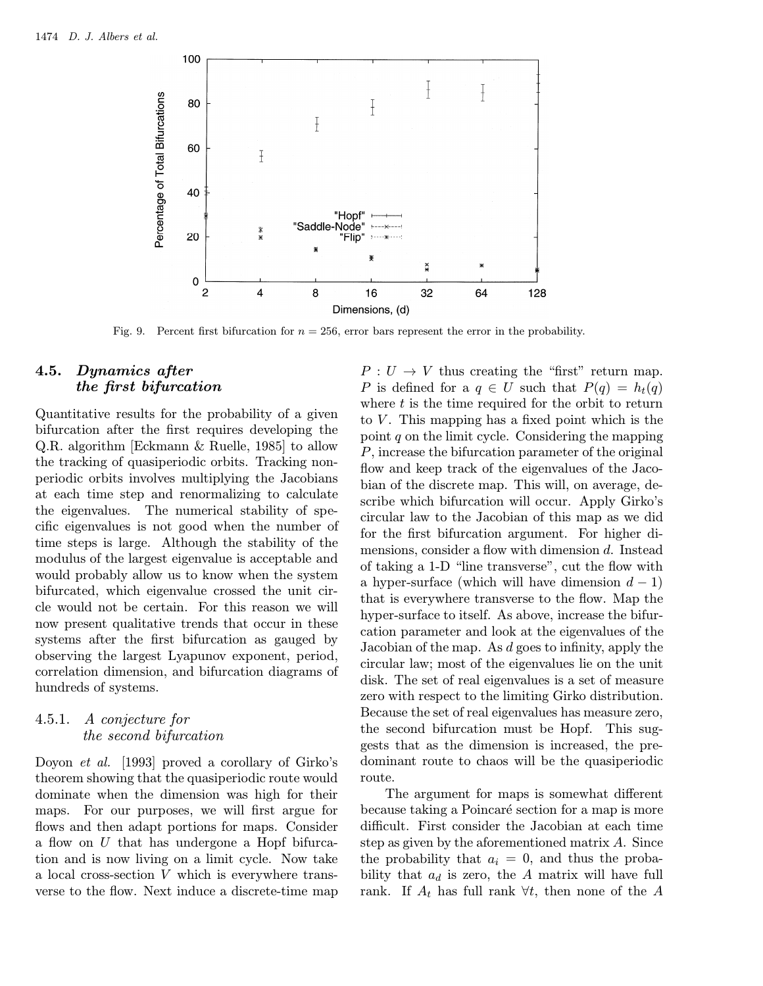

Fig. 9. Percent first bifurcation for  $n = 256$ , error bars represent the error in the probability.

# 4.5. Dynamics after the first bifurcation

Quantitative results for the probability of a given bifurcation after the first requires developing the Q.R. algorithm [Eckmann & Ruelle, 1985] to allow the tracking of quasiperiodic orbits. Tracking nonperiodic orbits involves multiplying the Jacobians at each time step and renormalizing to calculate the eigenvalues. The numerical stability of specific eigenvalues is not good when the number of time steps is large. Although the stability of the modulus of the largest eigenvalue is acceptable and would probably allow us to know when the system bifurcated, which eigenvalue crossed the unit circle would not be certain. For this reason we will now present qualitative trends that occur in these systems after the first bifurcation as gauged by observing the largest Lyapunov exponent, period, correlation dimension, and bifurcation diagrams of hundreds of systems.

# 4.5.1. A conjecture for the second bifurcation

Doyon et al. [1993] proved a corollary of Girko's theorem showing that the quasiperiodic route would dominate when the dimension was high for their maps. For our purposes, we will first argue for flows and then adapt portions for maps. Consider a flow on U that has undergone a Hopf bifurcation and is now living on a limit cycle. Now take a local cross-section V which is everywhere transverse to the flow. Next induce a discrete-time map  $P: U \to V$  thus creating the "first" return map. P is defined for a  $q \in U$  such that  $P(q) = h_t(q)$ where  $t$  is the time required for the orbit to return to  $V$ . This mapping has a fixed point which is the point  $q$  on the limit cycle. Considering the mapping P, increase the bifurcation parameter of the original flow and keep track of the eigenvalues of the Jacobian of the discrete map. This will, on average, describe which bifurcation will occur. Apply Girko's circular law to the Jacobian of this map as we did for the first bifurcation argument. For higher dimensions, consider a flow with dimension d. Instead of taking a 1-D "line transverse", cut the flow with a hyper-surface (which will have dimension  $d-1$ ) that is everywhere transverse to the flow. Map the hyper-surface to itself. As above, increase the bifurcation parameter and look at the eigenvalues of the Jacobian of the map. As d goes to infinity, apply the circular law; most of the eigenvalues lie on the unit disk. The set of real eigenvalues is a set of measure zero with respect to the limiting Girko distribution. Because the set of real eigenvalues has measure zero, the second bifurcation must be Hopf. This suggests that as the dimension is increased, the predominant route to chaos will be the quasiperiodic route.

The argument for maps is somewhat different because taking a Poincaré section for a map is more difficult. First consider the Jacobian at each time step as given by the aforementioned matrix A. Since the probability that  $a_i = 0$ , and thus the probability that  $a_d$  is zero, the A matrix will have full rank. If  $A_t$  has full rank  $\forall t$ , then none of the A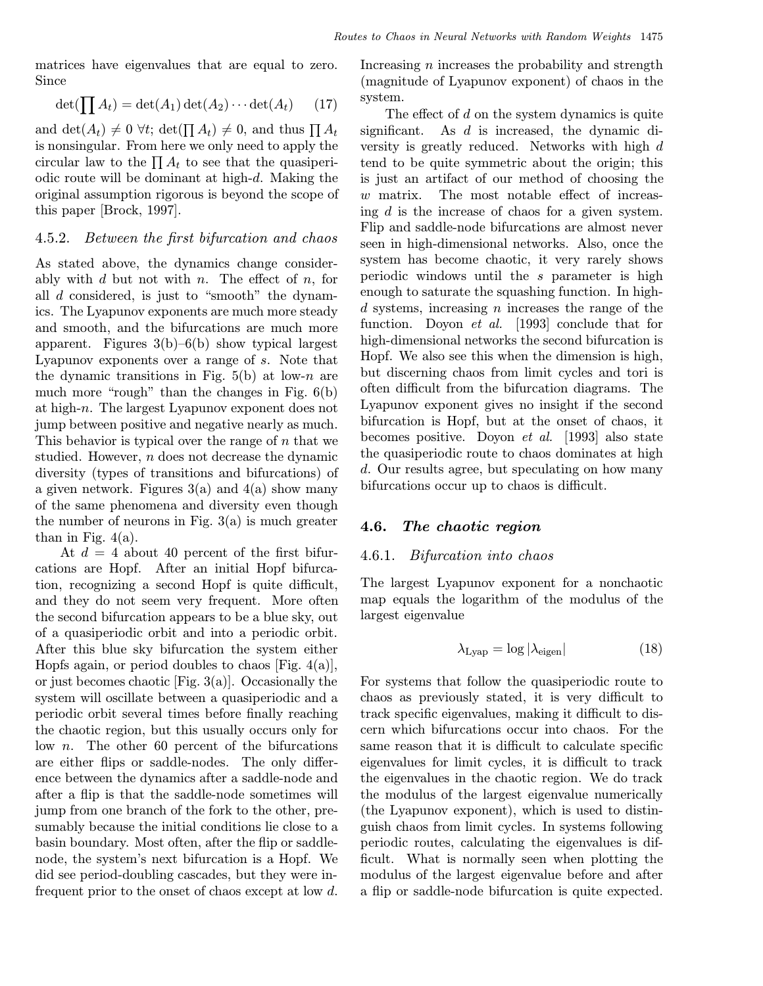matrices have eigenvalues that are equal to zero. Since

$$
\det(\prod A_t) = \det(A_1)\det(A_2)\cdots\det(A_t) \qquad (17)
$$

and det( $A_t$ )  $\neq 0$   $\forall t$ ; det( $\prod A_t$ )  $\neq 0$ , and thus  $\prod A_t$ is nonsingular. From here we only need to apply the circular law to the  $\prod A_t$  to see that the quasiperiodic route will be dominant at high-d. Making the original assumption rigorous is beyond the scope of this paper [Brock, 1997].

#### 4.5.2. Between the first bifurcation and chaos

As stated above, the dynamics change considerably with  $d$  but not with  $n$ . The effect of  $n$ , for all d considered, is just to "smooth" the dynamics. The Lyapunov exponents are much more steady and smooth, and the bifurcations are much more apparent. Figures  $3(b)$ –6(b) show typical largest Lyapunov exponents over a range of s. Note that the dynamic transitions in Fig.  $5(b)$  at low-n are much more "rough" than the changes in Fig. 6(b) at high-n. The largest Lyapunov exponent does not jump between positive and negative nearly as much. This behavior is typical over the range of  $n$  that we studied. However, n does not decrease the dynamic diversity (types of transitions and bifurcations) of a given network. Figures  $3(a)$  and  $4(a)$  show many of the same phenomena and diversity even though the number of neurons in Fig.  $3(a)$  is much greater than in Fig.  $4(a)$ .

At  $d = 4$  about 40 percent of the first bifurcations are Hopf. After an initial Hopf bifurcation, recognizing a second Hopf is quite difficult, and they do not seem very frequent. More often the second bifurcation appears to be a blue sky, out of a quasiperiodic orbit and into a periodic orbit. After this blue sky bifurcation the system either Hopfs again, or period doubles to chaos [Fig.  $4(a)$ ], or just becomes chaotic [Fig. 3(a)]. Occasionally the system will oscillate between a quasiperiodic and a periodic orbit several times before finally reaching the chaotic region, but this usually occurs only for low  $n$ . The other 60 percent of the bifurcations are either flips or saddle-nodes. The only difference between the dynamics after a saddle-node and after a flip is that the saddle-node sometimes will jump from one branch of the fork to the other, presumably because the initial conditions lie close to a basin boundary. Most often, after the flip or saddlenode, the system's next bifurcation is a Hopf. We did see period-doubling cascades, but they were infrequent prior to the onset of chaos except at low d. Increasing  $n$  increases the probability and strength (magnitude of Lyapunov exponent) of chaos in the system.

The effect of d on the system dynamics is quite significant. As d is increased, the dynamic diversity is greatly reduced. Networks with high d tend to be quite symmetric about the origin; this is just an artifact of our method of choosing the w matrix. The most notable effect of increasing d is the increase of chaos for a given system. Flip and saddle-node bifurcations are almost never seen in high-dimensional networks. Also, once the system has become chaotic, it very rarely shows periodic windows until the s parameter is high enough to saturate the squashing function. In highd systems, increasing n increases the range of the function. Doyon et al. [1993] conclude that for high-dimensional networks the second bifurcation is Hopf. We also see this when the dimension is high, but discerning chaos from limit cycles and tori is often difficult from the bifurcation diagrams. The Lyapunov exponent gives no insight if the second bifurcation is Hopf, but at the onset of chaos, it becomes positive. Doyon et al. [1993] also state the quasiperiodic route to chaos dominates at high d. Our results agree, but speculating on how many bifurcations occur up to chaos is difficult.

# 4.6. The chaotic region

#### 4.6.1. Bifurcation into chaos

The largest Lyapunov exponent for a nonchaotic map equals the logarithm of the modulus of the largest eigenvalue

$$
\lambda_{\text{Lyap}} = \log |\lambda_{\text{eigen}}| \tag{18}
$$

For systems that follow the quasiperiodic route to chaos as previously stated, it is very difficult to track specific eigenvalues, making it difficult to discern which bifurcations occur into chaos. For the same reason that it is difficult to calculate specific eigenvalues for limit cycles, it is difficult to track the eigenvalues in the chaotic region. We do track the modulus of the largest eigenvalue numerically (the Lyapunov exponent), which is used to distinguish chaos from limit cycles. In systems following periodic routes, calculating the eigenvalues is difficult. What is normally seen when plotting the modulus of the largest eigenvalue before and after a flip or saddle-node bifurcation is quite expected.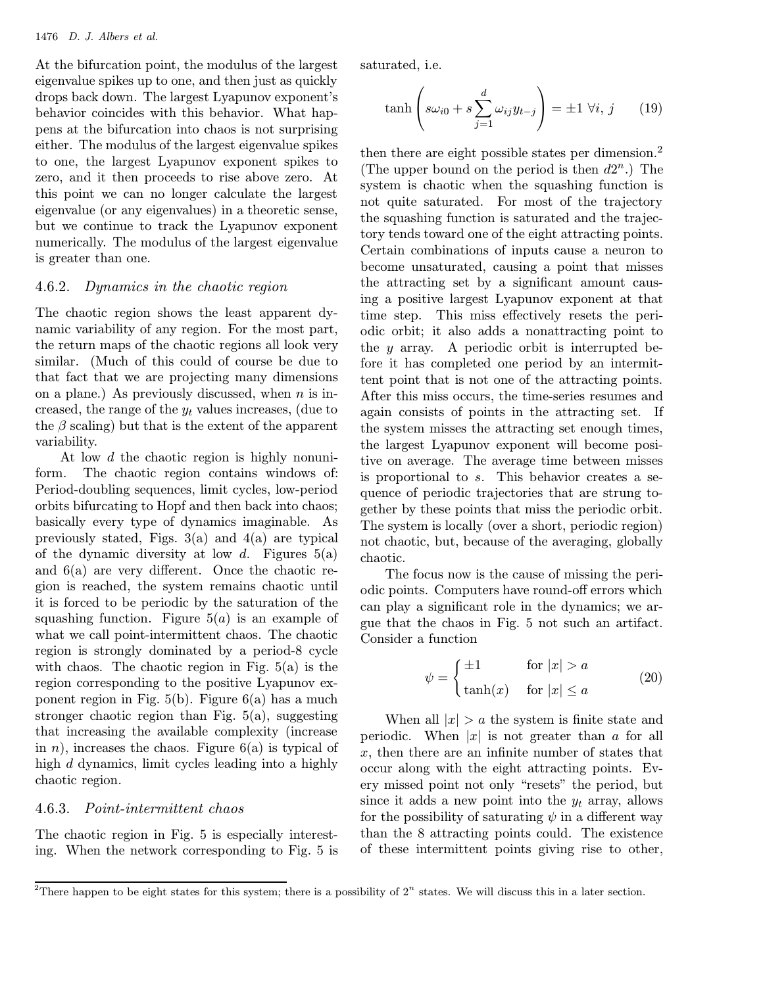At the bifurcation point, the modulus of the largest eigenvalue spikes up to one, and then just as quickly drops back down. The largest Lyapunov exponent's behavior coincides with this behavior. What happens at the bifurcation into chaos is not surprising either. The modulus of the largest eigenvalue spikes to one, the largest Lyapunov exponent spikes to zero, and it then proceeds to rise above zero. At this point we can no longer calculate the largest eigenvalue (or any eigenvalues) in a theoretic sense, but we continue to track the Lyapunov exponent numerically. The modulus of the largest eigenvalue is greater than one.

#### 4.6.2. Dynamics in the chaotic region

The chaotic region shows the least apparent dynamic variability of any region. For the most part, the return maps of the chaotic regions all look very similar. (Much of this could of course be due to that fact that we are projecting many dimensions on a plane.) As previously discussed, when  $n$  is increased, the range of the  $y_t$  values increases, (due to the  $\beta$  scaling) but that is the extent of the apparent variability.

At low d the chaotic region is highly nonuniform. The chaotic region contains windows of: Period-doubling sequences, limit cycles, low-period orbits bifurcating to Hopf and then back into chaos; basically every type of dynamics imaginable. As previously stated, Figs.  $3(a)$  and  $4(a)$  are typical of the dynamic diversity at low  $d$ . Figures  $5(a)$ and 6(a) are very different. Once the chaotic region is reached, the system remains chaotic until it is forced to be periodic by the saturation of the squashing function. Figure  $5(a)$  is an example of what we call point-intermittent chaos. The chaotic region is strongly dominated by a period-8 cycle with chaos. The chaotic region in Fig.  $5(a)$  is the region corresponding to the positive Lyapunov exponent region in Fig. 5(b). Figure 6(a) has a much stronger chaotic region than Fig.  $5(a)$ , suggesting that increasing the available complexity (increase in *n*), increases the chaos. Figure  $6(a)$  is typical of high d dynamics, limit cycles leading into a highly chaotic region.

#### 4.6.3. Point-intermittent chaos

The chaotic region in Fig. 5 is especially interesting. When the network corresponding to Fig. 5 is saturated, i.e.

$$
\tanh\left(s\omega_{i0} + s\sum_{j=1}^{d} \omega_{ij} y_{t-j}\right) = \pm 1 \,\forall i, j \qquad (19)
$$

then there are eight possible states per dimension.<sup>2</sup> (The upper bound on the period is then  $d2^n$ .) The system is chaotic when the squashing function is not quite saturated. For most of the trajectory the squashing function is saturated and the trajectory tends toward one of the eight attracting points. Certain combinations of inputs cause a neuron to become unsaturated, causing a point that misses the attracting set by a significant amount causing a positive largest Lyapunov exponent at that time step. This miss effectively resets the periodic orbit; it also adds a nonattracting point to the  $y$  array. A periodic orbit is interrupted before it has completed one period by an intermittent point that is not one of the attracting points. After this miss occurs, the time-series resumes and again consists of points in the attracting set. If the system misses the attracting set enough times, the largest Lyapunov exponent will become positive on average. The average time between misses is proportional to s. This behavior creates a sequence of periodic trajectories that are strung together by these points that miss the periodic orbit. The system is locally (over a short, periodic region) not chaotic, but, because of the averaging, globally chaotic.

The focus now is the cause of missing the periodic points. Computers have round-off errors which can play a significant role in the dynamics; we argue that the chaos in Fig. 5 not such an artifact. Consider a function

$$
\psi = \begin{cases} \pm 1 & \text{for } |x| > a \\ \tanh(x) & \text{for } |x| \le a \end{cases} \tag{20}
$$

When all  $|x| > a$  the system is finite state and periodic. When  $|x|$  is not greater than a for all x, then there are an infinite number of states that occur along with the eight attracting points. Every missed point not only "resets" the period, but since it adds a new point into the  $y_t$  array, allows for the possibility of saturating  $\psi$  in a different way than the 8 attracting points could. The existence of these intermittent points giving rise to other,

<sup>&</sup>lt;sup>2</sup>There happen to be eight states for this system; there is a possibility of  $2<sup>n</sup>$  states. We will discuss this in a later section.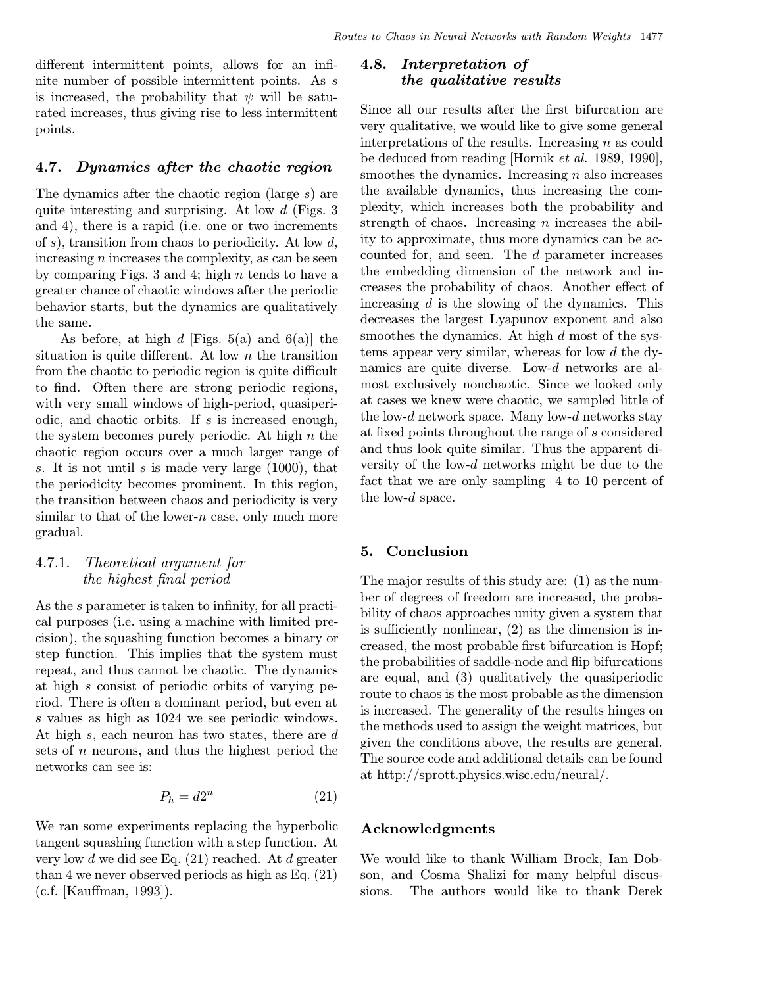different intermittent points, allows for an infinite number of possible intermittent points. As s is increased, the probability that  $\psi$  will be saturated increases, thus giving rise to less intermittent points.

## 4.7. Dynamics after the chaotic region

The dynamics after the chaotic region (large s) are quite interesting and surprising. At low  $d$  (Figs. 3) and 4), there is a rapid (i.e. one or two increments of s), transition from chaos to periodicity. At low  $d$ , increasing  $n$  increases the complexity, as can be seen by comparing Figs. 3 and 4; high  $n$  tends to have a greater chance of chaotic windows after the periodic behavior starts, but the dynamics are qualitatively the same.

As before, at high  $d$  [Figs. 5(a) and 6(a)] the situation is quite different. At low  $n$  the transition from the chaotic to periodic region is quite difficult to find. Often there are strong periodic regions, with very small windows of high-period, quasiperiodic, and chaotic orbits. If  $s$  is increased enough, the system becomes purely periodic. At high  $n$  the chaotic region occurs over a much larger range of s. It is not until s is made very large  $(1000)$ , that the periodicity becomes prominent. In this region, the transition between chaos and periodicity is very similar to that of the lower- $n$  case, only much more gradual.

# 4.7.1. Theoretical argument for the highest final period

As the s parameter is taken to infinity, for all practical purposes (i.e. using a machine with limited precision), the squashing function becomes a binary or step function. This implies that the system must repeat, and thus cannot be chaotic. The dynamics at high s consist of periodic orbits of varying period. There is often a dominant period, but even at s values as high as 1024 we see periodic windows. At high s, each neuron has two states, there are d sets of  $n$  neurons, and thus the highest period the networks can see is:

$$
P_h = d2^n \tag{21}
$$

We ran some experiments replacing the hyperbolic tangent squashing function with a step function. At very low d we did see Eq.  $(21)$  reached. At d greater than 4 we never observed periods as high as Eq. (21) (c.f. [Kauffman, 1993]).

# 4.8. Interpretation of the qualitative results

Since all our results after the first bifurcation are very qualitative, we would like to give some general interpretations of the results. Increasing  $n$  as could be deduced from reading [Hornik et al. 1989, 1990], smoothes the dynamics. Increasing  $n$  also increases the available dynamics, thus increasing the complexity, which increases both the probability and strength of chaos. Increasing *n* increases the ability to approximate, thus more dynamics can be accounted for, and seen. The d parameter increases the embedding dimension of the network and increases the probability of chaos. Another effect of increasing d is the slowing of the dynamics. This decreases the largest Lyapunov exponent and also smoothes the dynamics. At high d most of the systems appear very similar, whereas for low d the dynamics are quite diverse. Low-d networks are almost exclusively nonchaotic. Since we looked only at cases we knew were chaotic, we sampled little of the low-d network space. Many low-d networks stay at fixed points throughout the range of s considered and thus look quite similar. Thus the apparent diversity of the low-d networks might be due to the fact that we are only sampling 4 to 10 percent of the low-d space.

## 5. Conclusion

The major results of this study are: (1) as the number of degrees of freedom are increased, the probability of chaos approaches unity given a system that is sufficiently nonlinear, (2) as the dimension is increased, the most probable first bifurcation is Hopf; the probabilities of saddle-node and flip bifurcations are equal, and (3) qualitatively the quasiperiodic route to chaos is the most probable as the dimension is increased. The generality of the results hinges on the methods used to assign the weight matrices, but given the conditions above, the results are general. The source code and additional details can be found at http://sprott.physics.wisc.edu/neural/.

## Acknowledgments

We would like to thank William Brock, Ian Dobson, and Cosma Shalizi for many helpful discussions. The authors would like to thank Derek